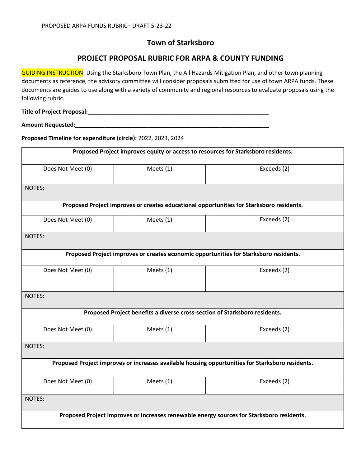## **Town of Starksboro**

## **PROJECT PROPOSAL RUBRIC FOR ARPA & COUNTY FUNDING**

GUIDING INSTRUCTION: Using the Starksboro Town Plan, the All Hazards Mitigation Plan, and other town planning documents as reference, the advisory committee will consider proposals submitted for use of town ARPA funds. These documents are guides to use along with a variety of community and regional resources to evaluate proposals using the following rubric.

**Title of Project Proposal:**\_\_\_\_\_\_\_\_\_\_\_\_\_\_\_\_\_\_\_\_\_\_\_\_\_\_\_\_\_\_\_\_\_\_\_\_\_\_\_\_\_\_\_\_\_\_\_\_\_\_\_\_\_\_\_\_

**Amount Requested:\_\_\_\_\_\_\_\_\_\_\_\_\_\_\_\_\_\_\_\_\_\_\_\_\_\_\_\_\_\_\_\_\_\_\_\_\_\_\_\_\_\_\_\_\_\_\_\_\_\_\_\_\_\_\_\_\_\_\_\_**

**Proposed Timeline for expenditure (circle):** 2022, 2023, 2024

| Proposed Project improves equity or access to resources for Starksboro residents.                |                                                                            |             |  |  |
|--------------------------------------------------------------------------------------------------|----------------------------------------------------------------------------|-------------|--|--|
| Does Not Meet (0)                                                                                | Meets (1)                                                                  | Exceeds (2) |  |  |
| <b>NOTES:</b>                                                                                    |                                                                            |             |  |  |
| Proposed Project improves or creates educational opportunities for Starksboro residents.         |                                                                            |             |  |  |
| Does Not Meet (0)                                                                                | Meets $(1)$                                                                | Exceeds (2) |  |  |
| NOTES:                                                                                           |                                                                            |             |  |  |
| Proposed Project improves or creates economic opportunities for Starksboro residents.            |                                                                            |             |  |  |
| Does Not Meet (0)                                                                                | Meets (1)                                                                  | Exceeds (2) |  |  |
| NOTES:                                                                                           |                                                                            |             |  |  |
|                                                                                                  | Proposed Project benefits a diverse cross-section of Starksboro residents. |             |  |  |
| Does Not Meet (0)                                                                                | Meets (1)                                                                  | Exceeds (2) |  |  |
| <b>NOTES:</b>                                                                                    |                                                                            |             |  |  |
| Proposed Project improves or increases available housing opportunities for Starksboro residents. |                                                                            |             |  |  |
| Does Not Meet (0)                                                                                | Meets (1)                                                                  | Exceeds (2) |  |  |
| <b>NOTES:</b>                                                                                    |                                                                            |             |  |  |
| Proposed Project improves or increases renewable energy sources for Starksboro residents.        |                                                                            |             |  |  |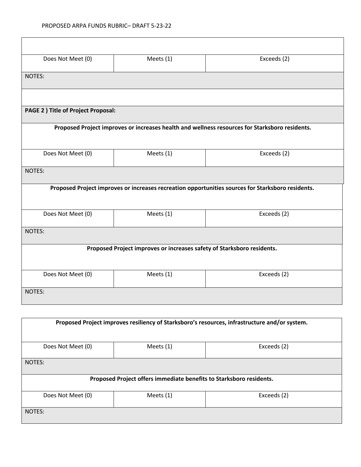| Does Not Meet (0)                                                                                 | Meets (1) | Exceeds (2) |  |  |  |
|---------------------------------------------------------------------------------------------------|-----------|-------------|--|--|--|
| NOTES:                                                                                            |           |             |  |  |  |
|                                                                                                   |           |             |  |  |  |
| PAGE 2 ) Title of Project Proposal:                                                               |           |             |  |  |  |
| Proposed Project improves or increases health and wellness resources for Starksboro residents.    |           |             |  |  |  |
| Does Not Meet (0)                                                                                 | Meets (1) | Exceeds (2) |  |  |  |
| NOTES:                                                                                            |           |             |  |  |  |
| Proposed Project improves or increases recreation opportunities sources for Starksboro residents. |           |             |  |  |  |
| Does Not Meet (0)                                                                                 | Meets (1) | Exceeds (2) |  |  |  |
| <b>NOTES:</b>                                                                                     |           |             |  |  |  |
| Proposed Project improves or increases safety of Starksboro residents.                            |           |             |  |  |  |
| Does Not Meet (0)                                                                                 | Meets (1) | Exceeds (2) |  |  |  |
| NOTES:                                                                                            |           |             |  |  |  |

| Proposed Project improves resiliency of Starksboro's resources, infrastructure and/or system. |             |             |  |  |  |
|-----------------------------------------------------------------------------------------------|-------------|-------------|--|--|--|
| Does Not Meet (0)                                                                             | Meets (1)   | Exceeds (2) |  |  |  |
| NOTES:                                                                                        |             |             |  |  |  |
| Proposed Project offers immediate benefits to Starksboro residents.                           |             |             |  |  |  |
| Does Not Meet (0)                                                                             | Meets $(1)$ | Exceeds (2) |  |  |  |
| NOTES:                                                                                        |             |             |  |  |  |